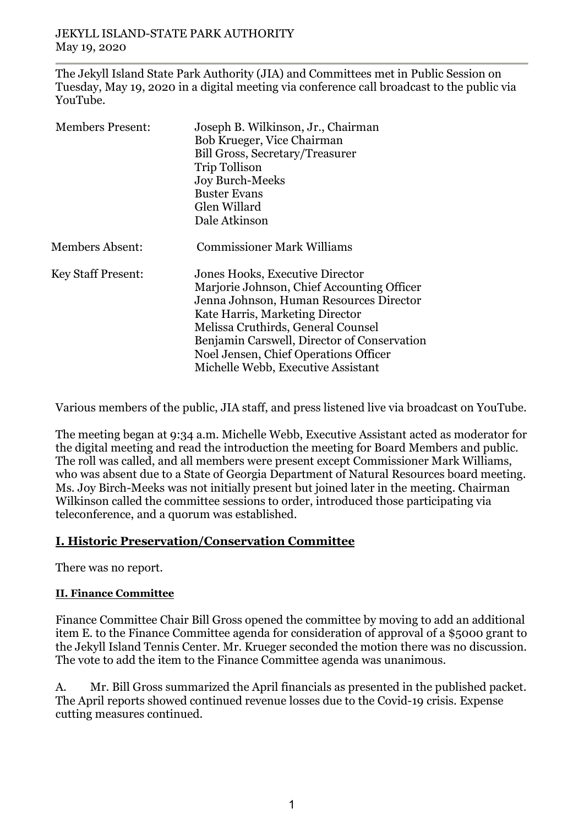The Jekyll Island State Park Authority (JIA) and Committees met in Public Session on Tuesday, May 19, 2020 in a digital meeting via conference call broadcast to the public via YouTube.

| <b>Members Present:</b>   | Joseph B. Wilkinson, Jr., Chairman<br>Bob Krueger, Vice Chairman<br><b>Bill Gross, Secretary/Treasurer</b><br><b>Trip Tollison</b><br><b>Joy Burch-Meeks</b><br><b>Buster Evans</b><br>Glen Willard<br>Dale Atkinson                                                                                                            |
|---------------------------|---------------------------------------------------------------------------------------------------------------------------------------------------------------------------------------------------------------------------------------------------------------------------------------------------------------------------------|
| Members Absent:           | <b>Commissioner Mark Williams</b>                                                                                                                                                                                                                                                                                               |
| <b>Key Staff Present:</b> | Jones Hooks, Executive Director<br>Marjorie Johnson, Chief Accounting Officer<br>Jenna Johnson, Human Resources Director<br>Kate Harris, Marketing Director<br>Melissa Cruthirds, General Counsel<br>Benjamin Carswell, Director of Conservation<br>Noel Jensen, Chief Operations Officer<br>Michelle Webb, Executive Assistant |

Various members of the public, JIA staff, and press listened live via broadcast on YouTube.

The meeting began at 9:34 a.m. Michelle Webb, Executive Assistant acted as moderator for the digital meeting and read the introduction the meeting for Board Members and public. The roll was called, and all members were present except Commissioner Mark Williams, who was absent due to a State of Georgia Department of Natural Resources board meeting. Ms. Joy Birch-Meeks was not initially present but joined later in the meeting. Chairman Wilkinson called the committee sessions to order, introduced those participating via teleconference, and a quorum was established.

# **I. Historic Preservation/Conservation Committee**

There was no report.

# **II. Finance Committee**

Finance Committee Chair Bill Gross opened the committee by moving to add an additional item E. to the Finance Committee agenda for consideration of approval of a \$5000 grant to the Jekyll Island Tennis Center. Mr. Krueger seconded the motion there was no discussion. The vote to add the item to the Finance Committee agenda was unanimous.

A. Mr. Bill Gross summarized the April financials as presented in the published packet. The April reports showed continued revenue losses due to the Covid-19 crisis. Expense cutting measures continued.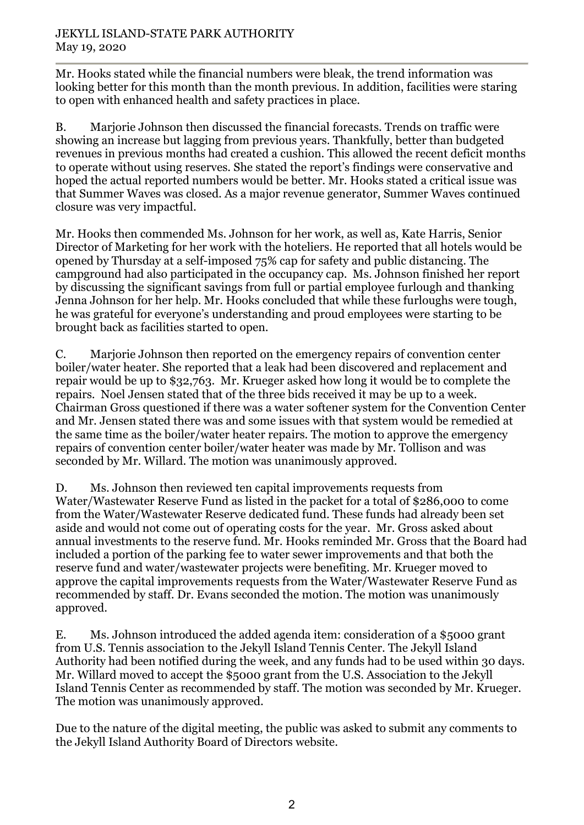Mr. Hooks stated while the financial numbers were bleak, the trend information was looking better for this month than the month previous. In addition, facilities were staring to open with enhanced health and safety practices in place.

B. Marjorie Johnson then discussed the financial forecasts. Trends on traffic were showing an increase but lagging from previous years. Thankfully, better than budgeted revenues in previous months had created a cushion. This allowed the recent deficit months to operate without using reserves. She stated the report's findings were conservative and hoped the actual reported numbers would be better. Mr. Hooks stated a critical issue was that Summer Waves was closed. As a major revenue generator, Summer Waves continued closure was very impactful.

Mr. Hooks then commended Ms. Johnson for her work, as well as, Kate Harris, Senior Director of Marketing for her work with the hoteliers. He reported that all hotels would be opened by Thursday at a self-imposed 75% cap for safety and public distancing. The campground had also participated in the occupancy cap. Ms. Johnson finished her report by discussing the significant savings from full or partial employee furlough and thanking Jenna Johnson for her help. Mr. Hooks concluded that while these furloughs were tough, he was grateful for everyone's understanding and proud employees were starting to be brought back as facilities started to open.

C. Marjorie Johnson then reported on the emergency repairs of convention center boiler/water heater. She reported that a leak had been discovered and replacement and repair would be up to \$32,763. Mr. Krueger asked how long it would be to complete the repairs. Noel Jensen stated that of the three bids received it may be up to a week. Chairman Gross questioned if there was a water softener system for the Convention Center and Mr. Jensen stated there was and some issues with that system would be remedied at the same time as the boiler/water heater repairs. The motion to approve the emergency repairs of convention center boiler/water heater was made by Mr. Tollison and was seconded by Mr. Willard. The motion was unanimously approved.

D. Ms. Johnson then reviewed ten capital improvements requests from Water/Wastewater Reserve Fund as listed in the packet for a total of \$286,000 to come from the Water/Wastewater Reserve dedicated fund. These funds had already been set aside and would not come out of operating costs for the year. Mr. Gross asked about annual investments to the reserve fund. Mr. Hooks reminded Mr. Gross that the Board had included a portion of the parking fee to water sewer improvements and that both the reserve fund and water/wastewater projects were benefiting. Mr. Krueger moved to approve the capital improvements requests from the Water/Wastewater Reserve Fund as recommended by staff. Dr. Evans seconded the motion. The motion was unanimously approved.

E. Ms. Johnson introduced the added agenda item: consideration of a \$5000 grant from U.S. Tennis association to the Jekyll Island Tennis Center. The Jekyll Island Authority had been notified during the week, and any funds had to be used within 30 days. Mr. Willard moved to accept the \$5000 grant from the U.S. Association to the Jekyll Island Tennis Center as recommended by staff. The motion was seconded by Mr. Krueger. The motion was unanimously approved.

Due to the nature of the digital meeting, the public was asked to submit any comments to the Jekyll Island Authority Board of Directors website.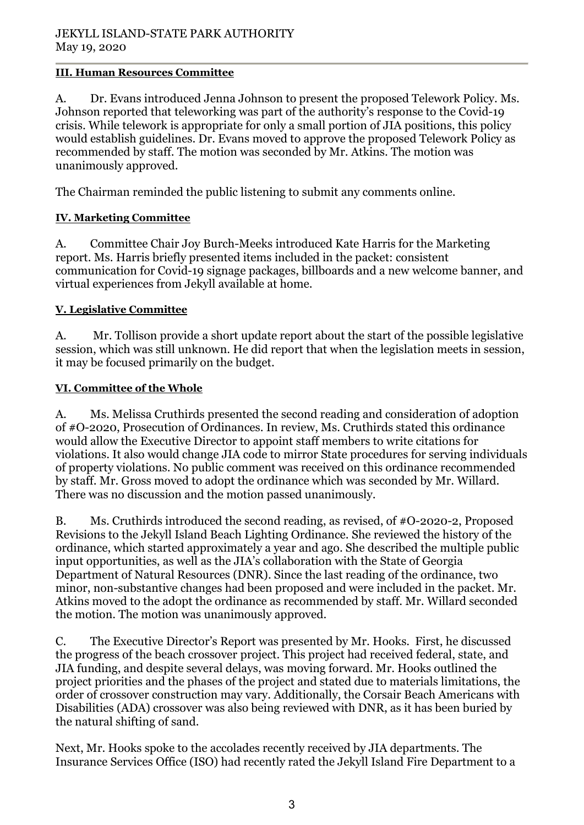#### **III. Human Resources Committee**

A. Dr. Evans introduced Jenna Johnson to present the proposed Telework Policy. Ms. Johnson reported that teleworking was part of the authority's response to the Covid-19 crisis. While telework is appropriate for only a small portion of JIA positions, this policy would establish guidelines. Dr. Evans moved to approve the proposed Telework Policy as recommended by staff. The motion was seconded by Mr. Atkins. The motion was unanimously approved.

The Chairman reminded the public listening to submit any comments online.

# **IV. Marketing Committee**

A. Committee Chair Joy Burch-Meeks introduced Kate Harris for the Marketing report. Ms. Harris briefly presented items included in the packet: consistent communication for Covid-19 signage packages, billboards and a new welcome banner, and virtual experiences from Jekyll available at home.

# **V. Legislative Committee**

A. Mr. Tollison provide a short update report about the start of the possible legislative session, which was still unknown. He did report that when the legislation meets in session, it may be focused primarily on the budget.

#### **VI. Committee of the Whole**

A. Ms. Melissa Cruthirds presented the second reading and consideration of adoption of #O-2020, Prosecution of Ordinances. In review, Ms. Cruthirds stated this ordinance would allow the Executive Director to appoint staff members to write citations for violations. It also would change JIA code to mirror State procedures for serving individuals of property violations. No public comment was received on this ordinance recommended by staff. Mr. Gross moved to adopt the ordinance which was seconded by Mr. Willard. There was no discussion and the motion passed unanimously.

B. Ms. Cruthirds introduced the second reading, as revised, of #O-2020-2, Proposed Revisions to the Jekyll Island Beach Lighting Ordinance. She reviewed the history of the ordinance, which started approximately a year and ago. She described the multiple public input opportunities, as well as the JIA's collaboration with the State of Georgia Department of Natural Resources (DNR). Since the last reading of the ordinance, two minor, non-substantive changes had been proposed and were included in the packet. Mr. Atkins moved to the adopt the ordinance as recommended by staff. Mr. Willard seconded the motion. The motion was unanimously approved.

C. The Executive Director's Report was presented by Mr. Hooks. First, he discussed the progress of the beach crossover project. This project had received federal, state, and JIA funding, and despite several delays, was moving forward. Mr. Hooks outlined the project priorities and the phases of the project and stated due to materials limitations, the order of crossover construction may vary. Additionally, the Corsair Beach Americans with Disabilities (ADA) crossover was also being reviewed with DNR, as it has been buried by the natural shifting of sand.

Next, Mr. Hooks spoke to the accolades recently received by JIA departments. The Insurance Services Office (ISO) had recently rated the Jekyll Island Fire Department to a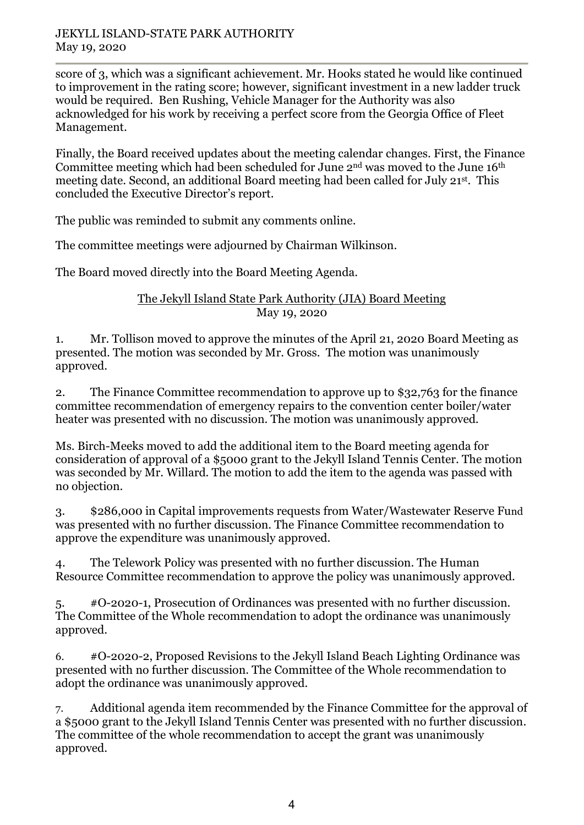#### JEKYLL ISLAND-STATE PARK AUTHORITY May 19, 2020

score of 3, which was a significant achievement. Mr. Hooks stated he would like continued to improvement in the rating score; however, significant investment in a new ladder truck would be required. Ben Rushing, Vehicle Manager for the Authority was also acknowledged for his work by receiving a perfect score from the Georgia Office of Fleet Management.

Finally, the Board received updates about the meeting calendar changes. First, the Finance Committee meeting which had been scheduled for June 2nd was moved to the June 16th meeting date. Second, an additional Board meeting had been called for July 21st. This concluded the Executive Director's report.

The public was reminded to submit any comments online.

The committee meetings were adjourned by Chairman Wilkinson.

The Board moved directly into the Board Meeting Agenda.

#### The Jekyll Island State Park Authority (JIA) Board Meeting May 19, 2020

1. Mr. Tollison moved to approve the minutes of the April 21, 2020 Board Meeting as presented. The motion was seconded by Mr. Gross. The motion was unanimously approved.

2. The Finance Committee recommendation to approve up to \$32,763 for the finance committee recommendation of emergency repairs to the convention center boiler/water heater was presented with no discussion. The motion was unanimously approved.

Ms. Birch-Meeks moved to add the additional item to the Board meeting agenda for consideration of approval of a \$5000 grant to the Jekyll Island Tennis Center. The motion was seconded by Mr. Willard. The motion to add the item to the agenda was passed with no objection.

3. \$286,000 in Capital improvements requests from Water/Wastewater Reserve Fund was presented with no further discussion. The Finance Committee recommendation to approve the expenditure was unanimously approved.

4. The Telework Policy was presented with no further discussion. The Human Resource Committee recommendation to approve the policy was unanimously approved.

5. #O-2020-1, Prosecution of Ordinances was presented with no further discussion. The Committee of the Whole recommendation to adopt the ordinance was unanimously approved.

6. #O-2020-2, Proposed Revisions to the Jekyll Island Beach Lighting Ordinance was presented with no further discussion. The Committee of the Whole recommendation to adopt the ordinance was unanimously approved.

7. Additional agenda item recommended by the Finance Committee for the approval of a \$5000 grant to the Jekyll Island Tennis Center was presented with no further discussion. The committee of the whole recommendation to accept the grant was unanimously approved.